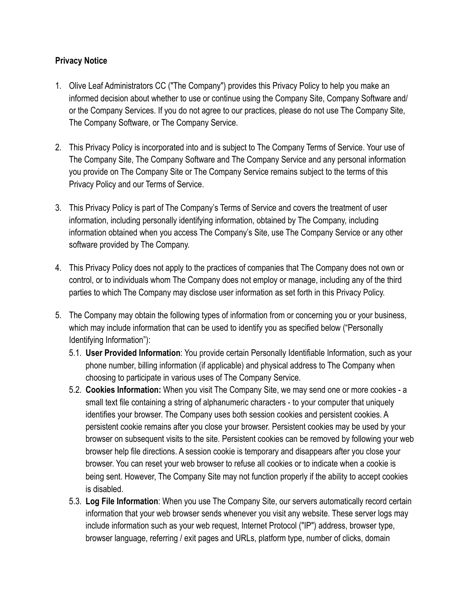## **Privacy Notice**

- 1. Olive Leaf Administrators CC ("The Company") provides this Privacy Policy to help you make an informed decision about whether to use or continue using the Company Site, Company Software and/ or the Company Services. If you do not agree to our practices, please do not use The Company Site, The Company Software, or The Company Service.
- 2. This Privacy Policy is incorporated into and is subject to The Company Terms of Service. Your use of The Company Site, The Company Software and The Company Service and any personal information you provide on The Company Site or The Company Service remains subject to the terms of this Privacy Policy and our Terms of Service.
- 3. This Privacy Policy is part of The Company's Terms of Service and covers the treatment of user information, including personally identifying information, obtained by The Company, including information obtained when you access The Company's Site, use The Company Service or any other software provided by The Company.
- 4. This Privacy Policy does not apply to the practices of companies that The Company does not own or control, or to individuals whom The Company does not employ or manage, including any of the third parties to which The Company may disclose user information as set forth in this Privacy Policy.
- 5. The Company may obtain the following types of information from or concerning you or your business, which may include information that can be used to identify you as specified below ("Personally Identifying Information"):
	- 5.1. **User Provided Information**: You provide certain Personally Identifiable Information, such as your phone number, billing information (if applicable) and physical address to The Company when choosing to participate in various uses of The Company Service.
	- 5.2. **Cookies Information:** When you visit The Company Site, we may send one or more cookies a small text file containing a string of alphanumeric characters - to your computer that uniquely identifies your browser. The Company uses both session cookies and persistent cookies. A persistent cookie remains after you close your browser. Persistent cookies may be used by your browser on subsequent visits to the site. Persistent cookies can be removed by following your web browser help file directions. A session cookie is temporary and disappears after you close your browser. You can reset your web browser to refuse all cookies or to indicate when a cookie is being sent. However, The Company Site may not function properly if the ability to accept cookies is disabled.
	- 5.3. **Log File Information**: When you use The Company Site, our servers automatically record certain information that your web browser sends whenever you visit any website. These server logs may include information such as your web request, Internet Protocol ("IP") address, browser type, browser language, referring / exit pages and URLs, platform type, number of clicks, domain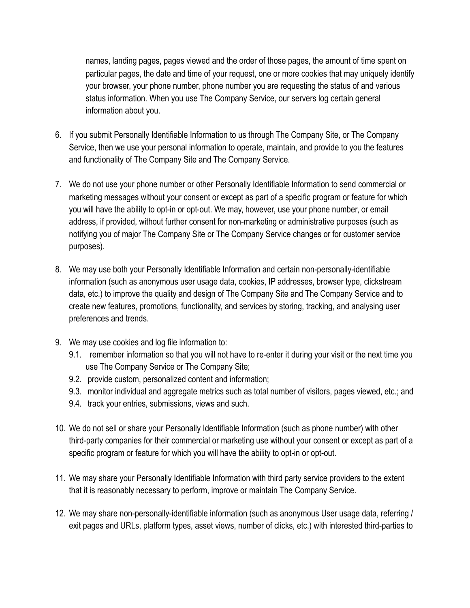names, landing pages, pages viewed and the order of those pages, the amount of time spent on particular pages, the date and time of your request, one or more cookies that may uniquely identify your browser, your phone number, phone number you are requesting the status of and various status information. When you use The Company Service, our servers log certain general information about you.

- 6. If you submit Personally Identifiable Information to us through The Company Site, or The Company Service, then we use your personal information to operate, maintain, and provide to you the features and functionality of The Company Site and The Company Service.
- 7. We do not use your phone number or other Personally Identifiable Information to send commercial or marketing messages without your consent or except as part of a specific program or feature for which you will have the ability to opt-in or opt-out. We may, however, use your phone number, or email address, if provided, without further consent for non-marketing or administrative purposes (such as notifying you of major The Company Site or The Company Service changes or for customer service purposes).
- 8. We may use both your Personally Identifiable Information and certain non-personally-identifiable information (such as anonymous user usage data, cookies, IP addresses, browser type, clickstream data, etc.) to improve the quality and design of The Company Site and The Company Service and to create new features, promotions, functionality, and services by storing, tracking, and analysing user preferences and trends.
- 9. We may use cookies and log file information to:
	- 9.1. remember information so that you will not have to re-enter it during your visit or the next time you use The Company Service or The Company Site;
	- 9.2. provide custom, personalized content and information;
	- 9.3. monitor individual and aggregate metrics such as total number of visitors, pages viewed, etc.; and
	- 9.4. track your entries, submissions, views and such.
- 10. We do not sell or share your Personally Identifiable Information (such as phone number) with other third-party companies for their commercial or marketing use without your consent or except as part of a specific program or feature for which you will have the ability to opt-in or opt-out.
- 11. We may share your Personally Identifiable Information with third party service providers to the extent that it is reasonably necessary to perform, improve or maintain The Company Service.
- 12. We may share non-personally-identifiable information (such as anonymous User usage data, referring / exit pages and URLs, platform types, asset views, number of clicks, etc.) with interested third-parties to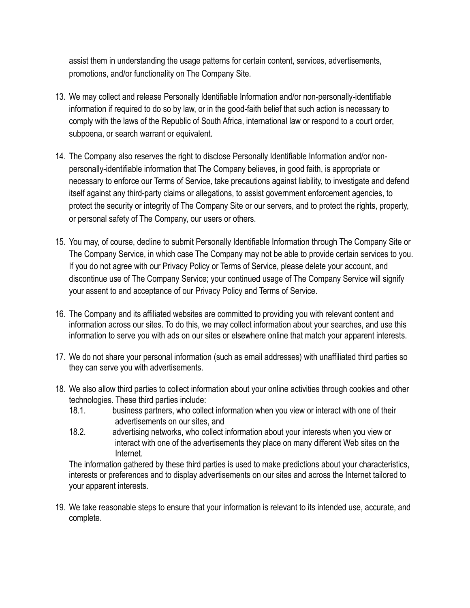assist them in understanding the usage patterns for certain content, services, advertisements, promotions, and/or functionality on The Company Site.

- 13. We may collect and release Personally Identifiable Information and/or non-personally-identifiable information if required to do so by law, or in the good-faith belief that such action is necessary to comply with the laws of the Republic of South Africa, international law or respond to a court order, subpoena, or search warrant or equivalent.
- 14. The Company also reserves the right to disclose Personally Identifiable Information and/or nonpersonally-identifiable information that The Company believes, in good faith, is appropriate or necessary to enforce our Terms of Service, take precautions against liability, to investigate and defend itself against any third-party claims or allegations, to assist government enforcement agencies, to protect the security or integrity of The Company Site or our servers, and to protect the rights, property, or personal safety of The Company, our users or others.
- 15. You may, of course, decline to submit Personally Identifiable Information through The Company Site or The Company Service, in which case The Company may not be able to provide certain services to you. If you do not agree with our Privacy Policy or Terms of Service, please delete your account, and discontinue use of The Company Service; your continued usage of The Company Service will signify your assent to and acceptance of our Privacy Policy and Terms of Service.
- 16. The Company and its affiliated websites are committed to providing you with relevant content and information across our sites. To do this, we may collect information about your searches, and use this information to serve you with ads on our sites or elsewhere online that match your apparent interests.
- 17. We do not share your personal information (such as email addresses) with unaffiliated third parties so they can serve you with advertisements.
- 18. We also allow third parties to collect information about your online activities through [cookies and other](http://www.tripadvisor.com/pages/privacy.html#cook)  [technologies](http://www.tripadvisor.com/pages/privacy.html#cook). These third parties include:
	- 18.1. business partners, who collect information when you view or interact with one of their advertisements on our sites, and
	- 18.2. advertising networks, who collect information about your interests when you view or interact with one of the advertisements they place on many different Web sites on the Internet.

The information gathered by these third parties is used to make predictions about your characteristics, interests or preferences and to display advertisements on our sites and across the Internet tailored to your apparent interests.

19. We take reasonable steps to ensure that your information is relevant to its intended use, accurate, and complete.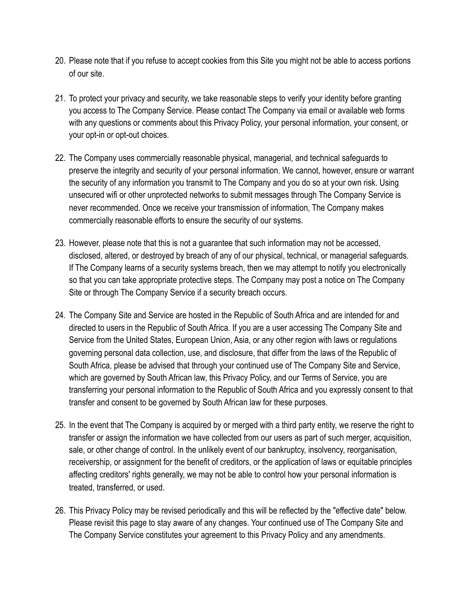- 20. Please note that if you refuse to accept cookies from this Site you might not be able to access portions of our site.
- 21. To protect your privacy and security, we take reasonable steps to verify your identity before granting you access to The Company Service. Please contact The Company via email or available web forms with any questions or comments about this Privacy Policy, your personal information, your consent, or your opt-in or opt-out choices.
- 22. The Company uses commercially reasonable physical, managerial, and technical safeguards to preserve the integrity and security of your personal information. We cannot, however, ensure or warrant the security of any information you transmit to The Company and you do so at your own risk. Using unsecured wifi or other unprotected networks to submit messages through The Company Service is never recommended. Once we receive your transmission of information, The Company makes commercially reasonable efforts to ensure the security of our systems.
- 23. However, please note that this is not a guarantee that such information may not be accessed, disclosed, altered, or destroyed by breach of any of our physical, technical, or managerial safeguards. If The Company learns of a security systems breach, then we may attempt to notify you electronically so that you can take appropriate protective steps. The Company may post a notice on The Company Site or through The Company Service if a security breach occurs.
- 24. The Company Site and Service are hosted in the Republic of South Africa and are intended for and directed to users in the Republic of South Africa. If you are a user accessing The Company Site and Service from the United States, European Union, Asia, or any other region with laws or regulations governing personal data collection, use, and disclosure, that differ from the laws of the Republic of South Africa, please be advised that through your continued use of The Company Site and Service, which are governed by South African law, this Privacy Policy, and our Terms of Service, you are transferring your personal information to the Republic of South Africa and you expressly consent to that transfer and consent to be governed by South African law for these purposes.
- 25. In the event that The Company is acquired by or merged with a third party entity, we reserve the right to transfer or assign the information we have collected from our users as part of such merger, acquisition, sale, or other change of control. In the unlikely event of our bankruptcy, insolvency, reorganisation, receivership, or assignment for the benefit of creditors, or the application of laws or equitable principles affecting creditors' rights generally, we may not be able to control how your personal information is treated, transferred, or used.
- 26. This Privacy Policy may be revised periodically and this will be reflected by the "effective date" below. Please revisit this page to stay aware of any changes. Your continued use of The Company Site and The Company Service constitutes your agreement to this Privacy Policy and any amendments.